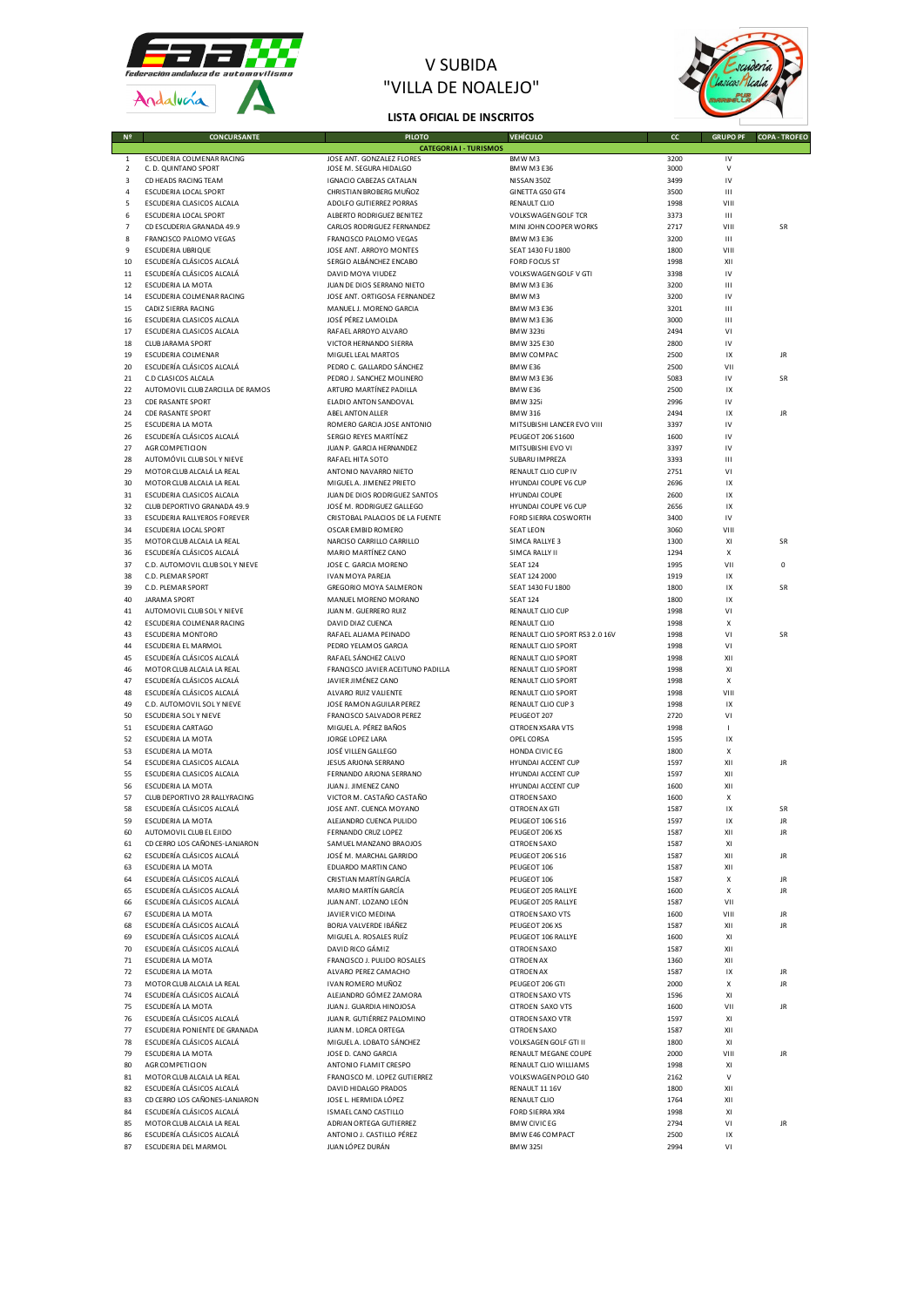

## V SUBIDA "VILLA DE NOALEJO"



## **LISTA OFICIAL DE INSCRITOS**

| 1<br>2         | ESCUDERIA COLMENAR RACING<br>C. D. QUINTANO SPORT         |
|----------------|-----------------------------------------------------------|
| 3              | CD HEADS RACING TEAM                                      |
| 4              | <b>ESCUDERIA LOCAL SPORT</b>                              |
| 5              | ESCUDERIA CLASICOS ALCALA                                 |
| 6              | <b>ESCUDERIA LOCAL SPORT</b>                              |
| $\overline{7}$ | CD ESCUDERIA GRANADA 49.9                                 |
| 8              | FRANCISCO PALOMO VEGAS                                    |
| 9              | <b>ESCUDERIA UBRIQUE</b>                                  |
| 10<br>11       | ESCUDERÍA CLÁSICOS ALCALÁ<br>ESCUDERÍA CLÁSICOS ALCALÁ    |
| 12             | ESCUDERIA LA MOTA                                         |
| 14             | ESCUDERIA COLMENAR RACING                                 |
| 15             | CADIZ SIERRA RACING                                       |
| 16             | ESCUDERIA CLASICOS ALCALA                                 |
| 17             | ESCUDERIA CLASICOS ALCALA                                 |
| 18<br>19       | <b>CLUB JARAMA SPORT</b>                                  |
| 20             | ESCUDERIA COLMENAR<br>ESCUDERÍA CLÁSICOS ALCALÁ           |
| 21             | C.D CLASICOS ALCALA                                       |
| 22             | AUTOMOVIL CLUB ZARCILLA DE RAMOS                          |
| 23             | CDE RASANTE SPORT                                         |
| 24             | CDE RASANTE SPORT                                         |
| 25             | ESCUDERIA LA MOTA                                         |
| 26             | ESCUDERÍA CLÁSICOS ALCALÁ<br>AGR COMPETICION              |
| 27<br>28       | AUTOMÓVIL CLUB SOL Y NIEVE                                |
| 29             | MOTOR CLUB ALCALÁ LA REAL                                 |
| 30             | MOTOR CLUB ALCALA LA REAL                                 |
| 31             | ESCUDERIA CLASICOS ALCALA                                 |
| 32             | CLUB DEPORTIVO GRANADA 49.9                               |
| 33             | ESCUDERIA RALLYEROS FOREVER                               |
| 34             | <b>ESCUDERIA LOCAL SPORT</b><br>MOTOR CLUB ALCALA LA REAL |
| 35<br>36       | ESCUDERÍA CLÁSICOS ALCALÁ                                 |
| 37             | C.D. AUTOMOVIL CLUB SOL Y NIEVE                           |
| 38             | C.D. PLEMAR SPORT                                         |
| 39             | C.D. PLEMAR SPORT                                         |
| 40             | <b>JARAMA SPORT</b>                                       |
| 41             | AUTOMOVIL CLUB SOL Y NIEVE                                |
| 42<br>43       | ESCUDERIA COLMENAR RACING<br><b>ESCUDERIA MONTORO</b>     |
| 44             | ESCUDERIA EL MARMOL                                       |
| 45             | ESCUDERÍA CLÁSICOS ALCALÁ                                 |
| 46             | MOTOR CLUB ALCALA LA REAL                                 |
| 47             | ESCUDERÍA CLÁSICOS ALCALÁ                                 |
| 48             | ESCUDERÍA CLÁSICOS ALCALÁ                                 |
| 49<br>50       | C.D. AUTOMOVIL SOL Y NIEVE<br>ESCUDERIA SOLY NIEVE        |
| 51             | ESCUDERIA CARTAGO                                         |
| 52             | ESCUDERIA LA MOTA                                         |
| 53             | ESCUDERIA LA MOTA                                         |
| 54             | ESCUDERIA CLASICOS ALCALA                                 |
| 55             | ESCUDERIA CLASICOS ALCALA                                 |
| 56             | <b>ESCUDERIA LA MOTA</b><br>CLUB DEPORTIVO 2R RALLYRACING |
| 57<br>58       | ESCUDERÍA CLÁSICOS ALCALÁ                                 |
| 59             | ESCUDERIA LA MOTA                                         |
| 60             | AUTOMOVIL CLUB EL EJIDO                                   |
| 61             | CD CERRO LOS CAÑONES-LANJARON                             |
| 62             | ESCUDERÍA CLÁSICOS ALCALÁ                                 |
| 63             | ESCUDERIA LA MOTA                                         |
| 64<br>65       | ESCUDERÍA CLÁSICOS ALCALÁ<br>ESCUDERÍA CLÁSICOS ALCALÁ    |
| 66             | ESCUDERÍA CLÁSICOS ALCALÁ                                 |
| 67             | ESCUDERIA LA MOTA                                         |
| 68             | ESCUDERÍA CLÁSICOS ALCALÁ                                 |
| 69             | ESCUDERÍA CLÁSICOS ALCALÁ                                 |
| 70             | ESCUDERÍA CLÁSICOS ALCALÁ                                 |
| 71             | ESCUDERIA LA MOTA                                         |
| 72<br>73       | ESCUDERIA LA MOTA<br>MOTOR CLUB ALCALA LA REAL            |
| 74             | ESCUDERÍA CLÁSICOS ALCALÁ                                 |
| 75             | ESCUDERÍA LA MOTA                                         |
| 76             | ESCUDERÍA CLÁSICOS ALCALÁ                                 |
| 77             | ESCUDERIA PONIENTE DE GRANADA                             |
| 78             | ESCUDERÍA CLÁSICOS ALCALÁ                                 |
| 79             | ESCUDERIA LA MOTA                                         |
| 80<br>81       | AGR COMPETICION<br>MOTOR CLUB ALCALA LA REAL              |
| 82             | ESCUDERÍA CLÁSICOS ALCALÁ                                 |
| 83             | CD CERRO LOS CAÑONES-LANJARON                             |
| 84             | ESCUDERÍA CLÁSICOS ALCALÁ                                 |
| 85             | MOTOR CLUB ALCALA LA REAL                                 |
| 86             | ESCUDERÍA CLÁSICOS ALCALÁ                                 |
| 87             | ESCUDERIA DEL MARMOL                                      |

|                |                                  | CATEGORIAT - TURISMOS             |                                |      |              |           |
|----------------|----------------------------------|-----------------------------------|--------------------------------|------|--------------|-----------|
| $\mathbf{1}$   | ESCUDERIA COLMENAR RACING        | JOSE ANT. GONZALEZ FLORES         | BMW M3                         | 3200 | IV           |           |
| $\overline{2}$ | C. D. QUINTANO SPORT             | JOSE M. SEGURA HIDALGO            | <b>BMW M3 E36</b>              | 3000 | $\mathsf{V}$ |           |
| 3              | CD HEADS RACING TEAM             | <b>IGNACIO CABEZAS CATALAN</b>    | NISSAN 350Z                    | 3499 | IV           |           |
|                |                                  |                                   |                                |      |              |           |
| $\overline{4}$ | <b>ESCUDERIA LOCAL SPORT</b>     | CHRISTIAN BROBERG MUÑOZ           | GINETTA G50 GT4                | 3500 | Ш            |           |
| 5              | ESCUDERIA CLASICOS ALCALA        | ADOLFO GUTIERREZ PORRAS           | RENAULT CLIO                   | 1998 | VIII         |           |
| 6              | <b>ESCUDERIA LOCAL SPORT</b>     | ALBERTO RODRIGUEZ BENITEZ         | VOLKSWAGEN GOLF TCR            | 3373 | Ш            |           |
| $\overline{7}$ | CD ESCUDERIA GRANADA 49.9        | CARLOS RODRIGUEZ FERNANDEZ        | MINI JOHN COOPER WORKS         | 2717 | VIII         | SR        |
|                |                                  |                                   |                                |      |              |           |
| 8              | FRANCISCO PALOMO VEGAS           | FRANCISCO PALOMO VEGAS            | <b>BMW M3 E36</b>              | 3200 | Ш            |           |
| 9              | ESCUDERIA UBRIQUE                | JOSE ANT. ARROYO MONTES           | SEAT 1430 FU 1800              | 1800 | VIII         |           |
| 10             | ESCUDERÍA CLÁSICOS ALCALÁ        | SERGIO ALBÁNCHEZ ENCABO           | <b>FORD FOCUS ST</b>           | 1998 | XII          |           |
| 11             | ESCUDERÍA CLÁSICOS ALCALÁ        | DAVID MOYA VIUDEZ                 | VOLKSWAGEN GOLF V GTI          | 3398 | IV           |           |
|                |                                  |                                   |                                |      |              |           |
| 12             | ESCUDERIA LA MOTA                | JUAN DE DIOS SERRANO NIETO        | BMW M3 E36                     | 3200 | Ш            |           |
| 14             | ESCUDERIA COLMENAR RACING        | JOSE ANT. ORTIGOSA FERNANDEZ      | BMWM3                          | 3200 | IV           |           |
| 15             | CADIZ SIERRA RACING              | MANUEL J. MORENO GARCIA           | <b>BMW M3 E36</b>              | 3201 | Ш            |           |
|                |                                  | JOSÉ PÉREZ LAMOLDA                |                                |      |              |           |
| 16             | ESCUDERIA CLASICOS ALCALA        |                                   | <b>BMW M3 E36</b>              | 3000 | Ш            |           |
| 17             | ESCUDERIA CLASICOS ALCALA        | RAFAEL ARROYO ALVARO              | BMW 323ti                      | 2494 | VI           |           |
| 18             | <b>CLUB JARAMA SPORT</b>         | VICTOR HERNANDO SIERRA            | BMW 325 E30                    | 2800 | IV           |           |
| 19             | ESCUDERIA COLMENAR               | MIGUEL LEAL MARTOS                | <b>BMW COMPAC</b>              | 2500 | IX           | JR        |
|                |                                  |                                   |                                |      |              |           |
| 20             | ESCUDERÍA CLÁSICOS ALCALÁ        | PEDRO C. GALLARDO SÁNCHEZ         | BMW E36                        | 2500 | VII          |           |
| 21             | C.D CLASICOS ALCALA              | PEDRO J. SANCHEZ MOLINERO         | BMW M3 E36                     | 5083 | IV           | SR        |
| 22             | AUTOMOVIL CLUB ZARCILLA DE RAMOS | ARTURO MARTÍNEZ PADILLA           | BMW E36                        | 2500 | IX           |           |
|                |                                  |                                   |                                |      |              |           |
| 23             | <b>CDE RASANTE SPORT</b>         | ELADIO ANTON SANDOVAL             | <b>BMW 325i</b>                | 2996 | IV           |           |
| 24             | CDE RASANTE SPORT                | ABEL ANTON ALLER                  | <b>BMW 316</b>                 | 2494 | IX           | JR        |
| 25             | ESCUDERIA LA MOTA                | ROMERO GARCIA JOSE ANTONIO        | MITSUBISHI LANCER EVO VIII     | 3397 | IV           |           |
|                |                                  |                                   |                                |      |              |           |
| 26             | ESCUDERÍA CLÁSICOS ALCALÁ        | SERGIO REYES MARTÍNEZ             | PEUGEOT 206 S1600              | 1600 | IV           |           |
| 27             | AGR COMPETICION                  | JUAN P. GARCIA HERNANDEZ          | MITSUBISHI EVO VI              | 3397 | IV           |           |
| 28             | AUTOMÓVIL CLUB SOL Y NIEVE       | RAFAEL HITA SOTO                  | SUBARU IMPREZA                 | 3393 | Ш            |           |
| 29             | MOTOR CLUB ALCALÁ LA REAL        | ANTONIO NAVARRO NIETO             | RENAULT CLIO CUP IV            | 2751 | VI           |           |
|                |                                  |                                   |                                |      |              |           |
| 30             | MOTOR CLUB ALCALA LA REAL        | MIGUEL A. JIMENEZ PRIETO          | HYUNDAI COUPE V6 CUP           | 2696 | IX           |           |
| 31             | ESCUDERIA CLASICOS ALCALA        | JUAN DE DIOS RODRIGUEZ SANTOS     | <b>HYUNDAI COUPE</b>           | 2600 | IX           |           |
| 32             | CLUB DEPORTIVO GRANADA 49.9      | JOSÉ M. RODRIGUEZ GALLEGO         | HYUNDAI COUPE V6 CUP           | 2656 | IX           |           |
|                |                                  |                                   |                                |      |              |           |
| 33             | ESCUDERIA RALLYEROS FOREVER      | CRISTOBAL PALACIOS DE LA FUENTE   | FORD SIERRA COSWORTH           | 3400 | IV           |           |
| 34             | ESCUDERIA LOCAL SPORT            | OSCAR EMBID ROMERO                | <b>SEAT LEON</b>               | 3060 | VIII         |           |
| 35             | MOTOR CLUB ALCALA LA REAL        | NARCISO CARRILLO CARRILLO         | SIMCA RALLYE 3                 | 1300 | XI           | SR        |
|                |                                  |                                   |                                |      |              |           |
| 36             | ESCUDERÍA CLÁSICOS ALCALÁ        | MARIO MARTÍNEZ CANO               | SIMCA RALLY II                 | 1294 | X            |           |
| 37             | C.D. AUTOMOVIL CLUB SOL Y NIEVE  | JOSE C. GARCIA MORENO             | <b>SEAT 124</b>                | 1995 | VII          | 0         |
| 38             | C.D. PLEMAR SPORT                | <b>IVAN MOYA PAREJA</b>           | SEAT 124 2000                  | 1919 | IX           |           |
| 39             | C.D. PLEMAR SPORT                | GREGORIO MOYA SALMERON            | SEAT 1430 FU 1800              | 1800 | IX           | SR        |
|                |                                  |                                   |                                |      |              |           |
| 40             | <b>JARAMA SPORT</b>              | MANUEL MORENO MORANO              | <b>SEAT 124</b>                | 1800 | IX           |           |
| 41             | AUTOMOVIL CLUB SOL Y NIEVE       | JUAN M. GUERRERO RUIZ             | RENAULT CLIO CUP               | 1998 | VI           |           |
| 42             | ESCUDERIA COLMENAR RACING        | DAVID DIAZ CUENCA                 | RENAULT CLIO                   | 1998 | х            |           |
|                |                                  |                                   |                                |      |              |           |
| 43             | <b>ESCUDERIA MONTORO</b>         | RAFAEL ALJAMA PEINADO             | RENAULT CLIO SPORT RS3 2.0 16V | 1998 | VI           | SR        |
| 44             | ESCUDERIA EL MARMOL              | PEDRO YELAMOS GARCIA              | RENAULT CLIO SPORT             | 1998 | VI           |           |
| 45             | ESCUDERÍA CLÁSICOS ALCALÁ        | RAFAEL SÁNCHEZ CALVO              | RENAULT CLIO SPORT             | 1998 | XII          |           |
| 46             | MOTOR CLUB ALCALA LA REAL        | FRANCISCO JAVIER ACEITUNO PADILLA | RENAULT CLIO SPORT             | 1998 | XI           |           |
|                |                                  |                                   |                                |      |              |           |
| 47             | ESCUDERÍA CLÁSICOS ALCALÁ        | JAVIER JIMÉNEZ CANO               | RENAULT CLIO SPORT             | 1998 | Х            |           |
| 48             | ESCUDERÍA CLÁSICOS ALCALÁ        | ALVARO RUIZ VALIENTE              | RENAULT CLIO SPORT             | 1998 | VIII         |           |
| 49             | C.D. AUTOMOVIL SOLY NIEVE        | JOSE RAMON AGUILAR PEREZ          | RENAULT CLIO CUP 3             | 1998 | IX           |           |
|                |                                  |                                   |                                |      |              |           |
| 50             | <b>ESCUDERIA SOLY NIEVE</b>      | FRANCISCO SALVADOR PEREZ          | PEUGEOT 207                    | 2720 | VI           |           |
| 51             | <b>ESCUDERIA CARTAGO</b>         | MIGUEL A. PÉREZ BAÑOS             | <b>CITROEN XSARA VTS</b>       | 1998 | $\mathbf{I}$ |           |
| 52             | ESCUDERIA LA MOTA                | JORGE LOPEZ LARA                  | OPEL CORSA                     | 1595 | IX           |           |
|                |                                  |                                   |                                |      |              |           |
| 53             | ESCUDERIA LA MOTA                | JOSÉ VILLEN GALLEGO               | HONDA CIVIC EG                 | 1800 | X            |           |
| 54             | ESCUDERIA CLASICOS ALCALA        | JESUS ARJONA SERRANO              | <b>HYUNDAI ACCENT CUP</b>      | 1597 | XII          | JR        |
| 55             | ESCUDERIA CLASICOS ALCALA        | FERNANDO ARJONA SERRANO           | <b>HYUNDAI ACCENT CUP</b>      | 1597 | XII          |           |
| 56             | ESCUDERIA LA MOTA                | JUAN J. JIMENEZ CANO              | <b>HYUNDAI ACCENT CUP</b>      | 1600 | XII          |           |
|                |                                  |                                   |                                |      |              |           |
| 57             | CLUB DEPORTIVO 2R RALLYRACING    | VICTOR M. CASTAÑO CASTAÑO         | <b>CITROEN SAXO</b>            | 1600 | X            |           |
| 58             | ESCUDERÍA CLÁSICOS ALCALÁ        | JOSE ANT. CUENCA MOYANO           | CITROEN AX GTI                 | 1587 | IX           | <b>SR</b> |
| 59             | ESCUDERIA LA MOTA                | ALEJANDRO CUENCA PULIDO           | <b>PEUGEOT 106 S16</b>         | 1597 | IX           | JR        |
| 60             | AUTOMOVIL CLUB EL EJIDO          | FERNANDO CRUZ LOPEZ               | PEUGEOT 206 XS                 | 1587 | XII          | JR        |
|                |                                  |                                   |                                |      |              |           |
|                | CD CERRO LOS CAÑONES-LANJARON    | SAMUEL MANZANO BRAQIOS            | <b>CITROFN SAXO</b>            | 1587 | XI           |           |
| 62             | ESCUDERÍA CLÁSICOS ALCALÁ        | JOSÉ M. MARCHAL GARRIDO           | PEUGEOT 206 S16                | 1587 | XII          | JR        |
| 63             | ESCUDERIA LA MOTA                | EDUARDO MARTIN CANO               | PEUGEOT 106                    | 1587 | XII          |           |
| 64             | ESCUDERÍA CLÁSICOS ALCALÁ        | CRISTIAN MARTÍN GARCÍA            | PEUGEOT 106                    | 1587 | Х            | JR        |
|                |                                  |                                   |                                |      |              |           |
| 65             | ESCUDERÍA CLÁSICOS ALCALÁ        | MARIO MARTÍN GARCÍA               | PEUGEOT 205 RALLYE             | 1600 | Х            | JR        |
| 66             | ESCUDERÍA CLÁSICOS ALCALÁ        | JUAN ANT. LOZANO LEÓN             | PEUGEOT 205 RALLYE             | 1587 | VII          |           |
| 67             | ESCUDERIA LA MOTA                | JAVIER VICO MEDINA                | <b>CITROEN SAXO VTS</b>        | 1600 | VIII         | JR        |
|                |                                  |                                   |                                |      |              |           |
| 68             | ESCUDERÍA CLÁSICOS ALCALÁ        | BORJA VALVERDE IBÁÑEZ             | PEUGEOT 206 XS                 | 1587 | XII          | JR        |
| 69             | ESCUDERÍA CLÁSICOS ALCALÁ        | MIGUEL A. ROSALES RUÍZ            | PEUGEOT 106 RALLYE             | 1600 | XI           |           |
| 70             | ESCUDERÍA CLÁSICOS ALCALÁ        | DAVID RICO GÁMIZ                  | <b>CITROEN SAXO</b>            | 1587 | XII          |           |
| 71             | ESCUDERIA LA MOTA                | FRANCISCO J. PULIDO ROSALES       | <b>CITROEN AX</b>              | 1360 | XII          |           |
|                |                                  |                                   |                                |      |              |           |
| 72             | ESCUDERIA LA MOTA                | ALVARO PEREZ CAMACHO              | <b>CITROEN AX</b>              | 1587 | IX           | JR        |
| 73             | MOTOR CLUB ALCALA LA REAL        | IVAN ROMERO MUÑOZ                 | PEUGEOT 206 GTI                | 2000 | Х            | JR        |
| 74             | ESCUDERÍA CLÁSICOS ALCALÁ        | ALEJANDRO GÓMEZ ZAMORA            | <b>CITROEN SAXO VTS</b>        | 1596 | XI           |           |
|                |                                  |                                   |                                |      |              |           |
| 75             | ESCUDERÍA LA MOTA                | JUAN J. GUARDIA HINOJOSA          | <b>CITROEN SAXO VTS</b>        | 1600 | VII          | JR        |
| 76             | ESCUDERÍA CLÁSICOS ALCALÁ        | JUAN R. GUTIÉRREZ PALOMINO        | <b>CITROEN SAXO VTR</b>        | 1597 | XI           |           |
| 77             | ESCUDERIA PONIENTE DE GRANADA    | JUAN M. LORCA ORTEGA              | <b>CITROEN SAXO</b>            | 1587 | XII          |           |
| 78             | ESCUDERÍA CLÁSICOS ALCALÁ        | MIGUEL A. LOBATO SÁNCHEZ          | VOLKSAGEN GOLF GTI II          | 1800 | XI           |           |
|                |                                  |                                   |                                |      |              |           |
| 79             | ESCUDERIA LA MOTA                | JOSE D. CANO GARCIA               | RENAULT MEGANE COUPE           | 2000 | VIII         | JR        |
| 80             | AGR COMPETICION                  | ANTONIO FLAMIT CRESPO             | RENAULT CLIO WILLIAMS          | 1998 | XI           |           |
| 81             | MOTOR CLUB ALCALA LA REAL        | FRANCISCO M. LOPEZ GUTIERREZ      | VOLKSWAGEN POLO G40            | 2162 | $\mathsf{V}$ |           |
|                |                                  |                                   |                                |      |              |           |
| 82             | ESCUDERÍA CLÁSICOS ALCALÁ        | DAVID HIDALGO PRADOS              | RENAULT 11 16V                 | 1800 | XII          |           |
| 83             | CD CERRO LOS CAÑONES-LANJARON    | JOSE L. HERMIDA LÓPEZ             | <b>RENAULT CLIO</b>            | 1764 | XII          |           |
| 84             | ESCUDERÍA CLÁSICOS ALCALÁ        | ISMAEL CANO CASTILLO              | <b>FORD SIERRA XR4</b>         | 1998 | XI           |           |
| 85             | MOTOR CLUB ALCALA LA REAL        | ADRIAN ORTEGA GUTIERREZ           | <b>BMW CIVICEG</b>             | 2794 | ٧I           | JR        |
|                |                                  |                                   |                                |      |              |           |
| 86             | ESCUDERÍA CLÁSICOS ALCALÁ        | ANTONIO J. CASTILLO PÉREZ         | BMW E46 COMPACT                | 2500 | IX           |           |
| 87             | ESCUDERIA DEL MARMOL             | JUAN LÓPEZ DURÁN                  | <b>BMW 3251</b>                | 2994 | VI           |           |